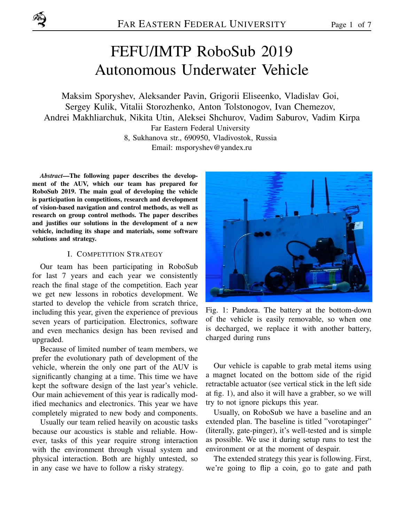# FEFU/IMTP RoboSub 2019 Autonomous Underwater Vehicle

Maksim Sporyshev, Aleksander Pavin, Grigorii Eliseenko, Vladislav Goi, Sergey Kulik, Vitalii Storozhenko, Anton Tolstonogov, Ivan Chemezov, Andrei Makhliarchuk, Nikita Utin, Aleksei Shchurov, Vadim Saburov, Vadim Kirpa Far Eastern Federal University 8, Sukhanova str., 690950, Vladivostok, Russia

Email: msporyshev@yandex.ru

*Abstract*—The following paper describes the development of the AUV, which our team has prepared for RoboSub 2019. The main goal of developing the vehicle is participation in competitions, research and development of vision-based navigation and control methods, as well as research on group control methods. The paper describes and justifies our solutions in the development of a new vehicle, including its shape and materials, some software solutions and strategy.

#### I. COMPETITION STRATEGY

Our team has been participating in RoboSub for last 7 years and each year we consistently reach the final stage of the competition. Each year we get new lessons in robotics development. We started to develop the vehicle from scratch thrice, including this year, given the experience of previous seven years of participation. Electronics, software and even mechanics design has been revised and upgraded.

Because of limited number of team members, we prefer the evolutionary path of development of the vehicle, wherein the only one part of the AUV is significantly changing at a time. This time we have kept the software design of the last year's vehicle. Our main achievement of this year is radically modified mechanics and electronics. This year we have completely migrated to new body and components.

Usually our team relied heavily on acoustic tasks because our acoustics is stable and reliable. However, tasks of this year require strong interaction with the environment through visual system and physical interaction. Both are highly untested, so in any case we have to follow a risky strategy.



Fig. 1: Pandora. The battery at the bottom-down of the vehicle is easily removable, so when one is decharged, we replace it with another battery, charged during runs

Our vehicle is capable to grab metal items using a magnet located on the bottom side of the rigid retractable actuator (see vertical stick in the left side at fig. 1), and also it will have a grabber, so we will try to not ignore pickups this year.

Usually, on RoboSub we have a baseline and an extended plan. The baseline is titled "vorotapinger" (literally, gate-pinger), it's well-tested and is simple as possible. We use it during setup runs to test the environment or at the moment of despair.

The extended strategy this year is following. First, we're going to flip a coin, go to gate and path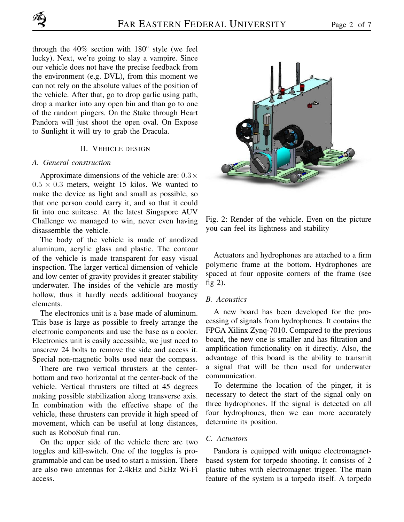through the 40% section with 180*◦* style (we feel lucky). Next, we're going to slay a vampire. Since our vehicle does not have the precise feedback from the environment (e.g. DVL), from this moment we can not rely on the absolute values of the position of the vehicle. After that, go to drop garlic using path, drop a marker into any open bin and than go to one of the random pingers. On the Stake through Heart Pandora will just shoot the open oval. On Expose to Sunlight it will try to grab the Dracula.

#### II. VEHICLE DESIGN

#### *A. General construction*

Approximate dimensions of the vehicle are: 0*.*3*×*  $0.5 \times 0.3$  meters, weight 15 kilos. We wanted to make the device as light and small as possible, so that one person could carry it, and so that it could fit into one suitcase. At the latest Singapore AUV Challenge we managed to win, never even having disassemble the vehicle.

The body of the vehicle is made of anodized aluminum, acrylic glass and plastic. The contour of the vehicle is made transparent for easy visual inspection. The larger vertical dimension of vehicle and low center of gravity provides it greater stability underwater. The insides of the vehicle are mostly hollow, thus it hardly needs additional buoyancy elements.

The electronics unit is a base made of aluminum. This base is large as possible to freely arrange the electronic components and use the base as a cooler. Electronics unit is easily accessible, we just need to unscrew 24 bolts to remove the side and access it. Special non-magnetic bolts used near the compass.

There are two vertical thrusters at the centerbottom and two horizontal at the center-back of the vehicle. Vertical thrusters are tilted at 45 degrees making possible stabilization along transverse axis. In combination with the effective shape of the vehicle, these thrusters can provide it high speed of movement, which can be useful at long distances, such as RoboSub final run.

On the upper side of the vehicle there are two toggles and kill-switch. One of the toggles is programmable and can be used to start a mission. There are also two antennas for 2.4kHz and 5kHz Wi-Fi access.



Fig. 2: Render of the vehicle. Even on the picture you can feel its lightness and stability

Actuators and hydrophones are attached to a firm polymeric frame at the bottom. Hydrophones are spaced at four opposite corners of the frame (see fig 2).

#### *B. Acoustics*

A new board has been developed for the processing of signals from hydrophones. It contains the FPGA Xilinx Zynq-7010. Compared to the previous board, the new one is smaller and has filtration and amplification functionality on it directly. Also, the advantage of this board is the ability to transmit a signal that will be then used for underwater communication.

To determine the location of the pinger, it is necessary to detect the start of the signal only on three hydrophones. If the signal is detected on all four hydrophones, then we can more accurately determine its position.

### *C. Actuators*

Pandora is equipped with unique electromagnetbased system for torpedo shooting. It consists of 2 plastic tubes with electromagnet trigger. The main feature of the system is a torpedo itself. A torpedo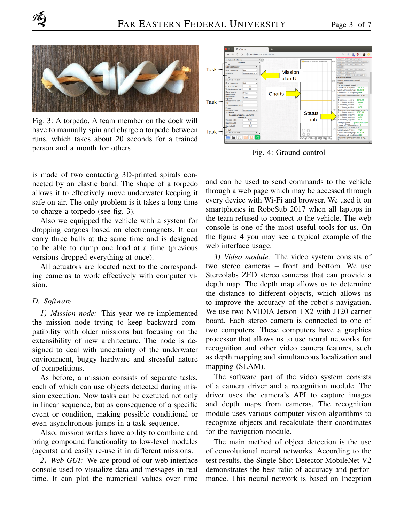

Fig. 3: A torpedo. A team member on the dock will have to manually spin and charge a torpedo between runs, which takes about 20 seconds for a trained person and a month for others

is made of two contacting 3D-printed spirals connected by an elastic band. The shape of a torpedo allows it to effectively move underwater keeping it safe on air. The only problem is it takes a long time to charge a torpedo (see fig. 3).

Also we equipped the vehicle with a system for dropping cargoes based on electromagnets. It can carry three balls at the same time and is designed to be able to dump one load at a time (previous versions dropped everything at once).

All actuators are located next to the corresponding cameras to work effectively with computer vision.

#### *D. Software*

*1) Mission node:* This year we re-implemented the mission node trying to keep backward compatibility with older missions but focusing on the extensibility of new architecture. The node is designed to deal with uncertainty of the underwater environment, buggy hardware and stressful nature of competitions.

As before, a mission consists of separate tasks, each of which can use objects detected during mission execution. Now tasks can be exetuted not only in linear sequence, but as consequence of a specific event or condition, making possible conditional or even asynchronous jumps in a task sequence.

Also, mission writers have ability to combine and bring compound functionality to low-level modules (agents) and easily re-use it in different missions.

*2) Web GUI:* We are proud of our web interface console used to visualize data and messages in real time. It can plot the numerical values over time



Fig. 4: Ground control

and can be used to send commands to the vehicle through a web page which may be accessed through every device with Wi-Fi and browser. We used it on smartphones in RoboSub 2017 when all laptops in the team refused to connect to the vehicle. The web console is one of the most useful tools for us. On the figure 4 you may see a typical example of the web interface usage.

*3) Video module:* The video system consists of two stereo cameras – front and bottom. We use Stereolabs ZED stereo cameras that can provide a depth map. The depth map allows us to determine the distance to different objects, which allows us to improve the accuracy of the robot's navigation. We use two NVIDIA Jetson TX2 with J120 carrier board. Each stereo camera is connected to one of two computers. These computers have a graphics processor that allows us to use neural networks for recognition and other video camera features, such as depth mapping and simultaneous localization and mapping (SLAM).

The software part of the video system consists of a camera driver and a recognition module. The driver uses the camera's API to capture images and depth maps from cameras. The recognition module uses various computer vision algorithms to recognize objects and recalculate their coordinates for the navigation module.

The main method of object detection is the use of convolutional neural networks. According to the test results, the Single Shot Detector MobileNet V2 demonstrates the best ratio of accuracy and performance. This neural network is based on Inception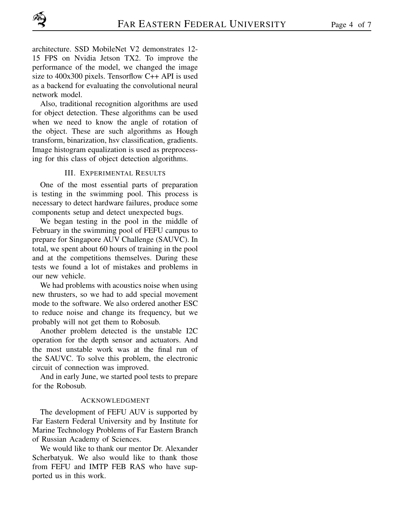architecture. SSD MobileNet V2 demonstrates 12- 15 FPS on Nvidia Jetson TX2. To improve the performance of the model, we changed the image size to 400x300 pixels. Tensorflow C++ API is used as a backend for evaluating the convolutional neural network model.

Also, traditional recognition algorithms are used for object detection. These algorithms can be used when we need to know the angle of rotation of the object. These are such algorithms as Hough transform, binarization, hsv classification, gradients. Image histogram equalization is used as preprocessing for this class of object detection algorithms.

#### III. EXPERIMENTAL RESULTS

One of the most essential parts of preparation is testing in the swimming pool. This process is necessary to detect hardware failures, produce some components setup and detect unexpected bugs.

We began testing in the pool in the middle of February in the swimming pool of FEFU campus to prepare for Singapore AUV Challenge (SAUVC). In total, we spent about 60 hours of training in the pool and at the competitions themselves. During these tests we found a lot of mistakes and problems in our new vehicle.

We had problems with acoustics noise when using new thrusters, so we had to add special movement mode to the software. We also ordered another ESC to reduce noise and change its frequency, but we probably will not get them to Robosub.

Another problem detected is the unstable I2C operation for the depth sensor and actuators. And the most unstable work was at the final run of the SAUVC. To solve this problem, the electronic circuit of connection was improved.

And in early June, we started pool tests to prepare for the Robosub.

#### ACKNOWLEDGMENT

The development of FEFU AUV is supported by Far Eastern Federal University and by Institute for Marine Technology Problems of Far Eastern Branch of Russian Academy of Sciences.

We would like to thank our mentor Dr. Alexander Scherbatyuk. We also would like to thank those from FEFU and IMTP FEB RAS who have supported us in this work.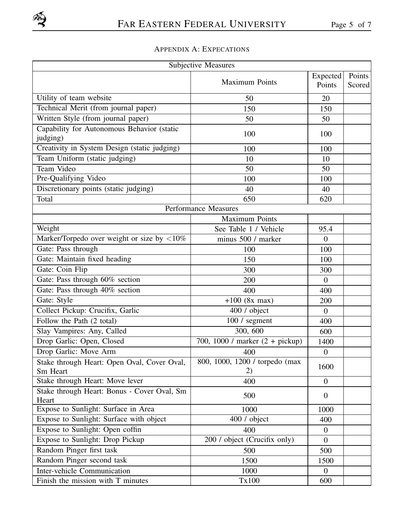## APPENDIX A: EXPECATIONS

| Subjective Measures                                  |                                                    |                  |        |  |  |  |  |
|------------------------------------------------------|----------------------------------------------------|------------------|--------|--|--|--|--|
|                                                      |                                                    | Expected         | Points |  |  |  |  |
|                                                      | <b>Maximum Points</b>                              | Points           | Scored |  |  |  |  |
| Utility of team website                              | 50                                                 | 20               |        |  |  |  |  |
| Technical Merit (from journal paper)                 | 150                                                | 150              |        |  |  |  |  |
| Written Style (from journal paper)                   | 50                                                 | 50               |        |  |  |  |  |
| Capability for Autonomous Behavior (static           |                                                    |                  |        |  |  |  |  |
| judging)                                             | 100                                                | 100              |        |  |  |  |  |
| Creativity in System Design (static judging)         | 100                                                | 100              |        |  |  |  |  |
| Team Uniform (static judging)                        | 10                                                 | 10               |        |  |  |  |  |
| Team Video                                           | 50                                                 | 50               |        |  |  |  |  |
| Pre-Qualifying Video                                 | 100                                                | 100              |        |  |  |  |  |
| Discretionary points (static judging)                | 40                                                 | 40               |        |  |  |  |  |
| Total                                                | 650                                                | 620              |        |  |  |  |  |
|                                                      | <b>Performance Measures</b>                        |                  |        |  |  |  |  |
|                                                      | <b>Maximum Points</b>                              |                  |        |  |  |  |  |
| Weight                                               | See Table 1 / Vehicle                              | 95.4             |        |  |  |  |  |
| Marker/Torpedo over weight or size by $\langle 10\%$ | minus 500 / marker                                 | $\overline{0}$   |        |  |  |  |  |
| Gate: Pass through                                   | 100                                                | 100              |        |  |  |  |  |
| Gate: Maintain fixed heading                         | 150                                                | 100              |        |  |  |  |  |
| Gate: Coin Flip                                      | 300                                                | 300              |        |  |  |  |  |
| Gate: Pass through 60% section                       | 200                                                | $\overline{0}$   |        |  |  |  |  |
| Gate: Pass through 40% section                       | 400<br>400                                         |                  |        |  |  |  |  |
| Gate: Style                                          | $+100$ (8x max)<br>200                             |                  |        |  |  |  |  |
| Collect Pickup: Crucifix, Garlic                     | 400 / object                                       | $\theta$         |        |  |  |  |  |
| Follow the Path (2 total)                            | $\overline{100/}$ segment                          | 400              |        |  |  |  |  |
| Slay Vampires: Any, Called                           | 300, 600                                           | 600              |        |  |  |  |  |
| Drop Garlic: Open, Closed                            | $\sqrt{700}$ , 1000 / marker $(2 + \text{pickup})$ | 1400             |        |  |  |  |  |
| Drop Garlic: Move Arm                                | 400                                                | $\boldsymbol{0}$ |        |  |  |  |  |
| Stake through Heart: Open Oval, Cover Oval,          | 800, 1000, 1200 / torpedo (max                     |                  |        |  |  |  |  |
| Sm Heart                                             | 2)                                                 | 1600             |        |  |  |  |  |
| Stake through Heart: Move lever                      | 400                                                | $\mathbf{0}$     |        |  |  |  |  |
| Stake through Heart: Bonus - Cover Oval, Sm          | 500                                                | $\overline{0}$   |        |  |  |  |  |
| Heart<br>Expose to Sunlight: Surface in Area         |                                                    |                  |        |  |  |  |  |
| Expose to Sunlight: Surface with object              | 1000                                               | 1000             |        |  |  |  |  |
|                                                      | 400 / object                                       | 400              |        |  |  |  |  |
| Expose to Sunlight: Open coffin                      | 400                                                | $\overline{0}$   |        |  |  |  |  |
| Expose to Sunlight: Drop Pickup                      | 200 / object (Crucifix only)                       | $\overline{0}$   |        |  |  |  |  |
| Random Pinger first task                             | 500                                                | 500              |        |  |  |  |  |
| Random Pinger second task                            | 1500                                               | 1500             |        |  |  |  |  |
| Inter-vehicle Communication                          | 1000                                               | $\theta$         |        |  |  |  |  |
| Finish the mission with T minutes                    | Tx100                                              | 600              |        |  |  |  |  |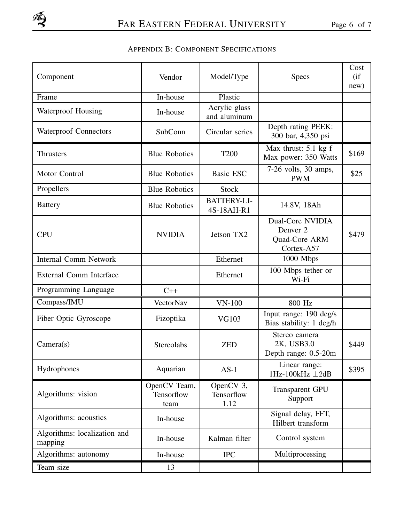## APPENDIX B: COMPONENT SPECIFICATIONS

| Component                               | Vendor                             | Model/Type                       | <b>Specs</b>                                                       | Cost<br>(i f)<br>new) |
|-----------------------------------------|------------------------------------|----------------------------------|--------------------------------------------------------------------|-----------------------|
| Frame                                   | In-house                           | Plastic                          |                                                                    |                       |
| <b>Waterproof Housing</b>               | In-house                           | Acrylic glass<br>and aluminum    |                                                                    |                       |
| <b>Waterproof Connectors</b>            | SubConn                            | Circular series                  | Depth rating PEEK:<br>300 bar, 4,350 psi                           |                       |
| Thrusters                               | <b>Blue Robotics</b>               | <b>T200</b>                      | Max thrust: $5.1 \text{ kg}$ f<br>Max power: 350 Watts             | \$169                 |
| Motor Control                           | <b>Blue Robotics</b>               | Basic ESC                        | $7-26$ volts, $30$ amps,<br><b>PWM</b>                             | \$25                  |
| Propellers                              | <b>Blue Robotics</b>               | <b>Stock</b>                     |                                                                    |                       |
| <b>Battery</b>                          | <b>Blue Robotics</b>               | <b>BATTERY-LI-</b><br>4S-18AH-R1 | 14.8V, 18Ah                                                        |                       |
| <b>CPU</b>                              | <b>NVIDIA</b>                      | Jetson TX2                       | <b>Dual-Core NVIDIA</b><br>Denver 2<br>Quad-Core ARM<br>Cortex-A57 | \$479                 |
| <b>Internal Comm Network</b>            |                                    | Ethernet                         | 1000 Mbps                                                          |                       |
| External Comm Interface                 |                                    | Ethernet                         | 100 Mbps tether or<br>Wi-Fi                                        |                       |
| Programming Language                    | $C++$                              |                                  |                                                                    |                       |
| Compass/IMU                             | <b>VectorNav</b>                   | $VN-100$                         | 800 Hz                                                             |                       |
| Fiber Optic Gyroscope                   | Fizoptika                          | <b>VG103</b>                     | Input range: 190 deg/s<br>Bias stability: 1 deg/h                  |                       |
| Camera(s)                               | Stereolabs                         | <b>ZED</b>                       | Stereo camera<br>2K, USB3.0<br>Depth range: 0.5-20m                | \$449                 |
| Hydrophones                             | Aquarian                           | $AS-1$                           | Linear range:<br>1Hz-100kHz $\pm 2$ dB                             | \$395                 |
| Algorithms: vision                      | OpenCV Team,<br>Tensorflow<br>team | OpenCV 3,<br>Tensorflow<br>1.12  | Transparent GPU<br>Support                                         |                       |
| Algorithms: acoustics                   | In-house                           |                                  | Signal delay, FFT,<br>Hilbert transform                            |                       |
| Algorithms: localization and<br>mapping | In-house                           | Kalman filter                    | Control system                                                     |                       |
| Algorithms: autonomy                    | In-house                           | <b>IPC</b>                       | Multiprocessing                                                    |                       |
| Team size                               | 13                                 |                                  |                                                                    |                       |
|                                         |                                    |                                  |                                                                    |                       |